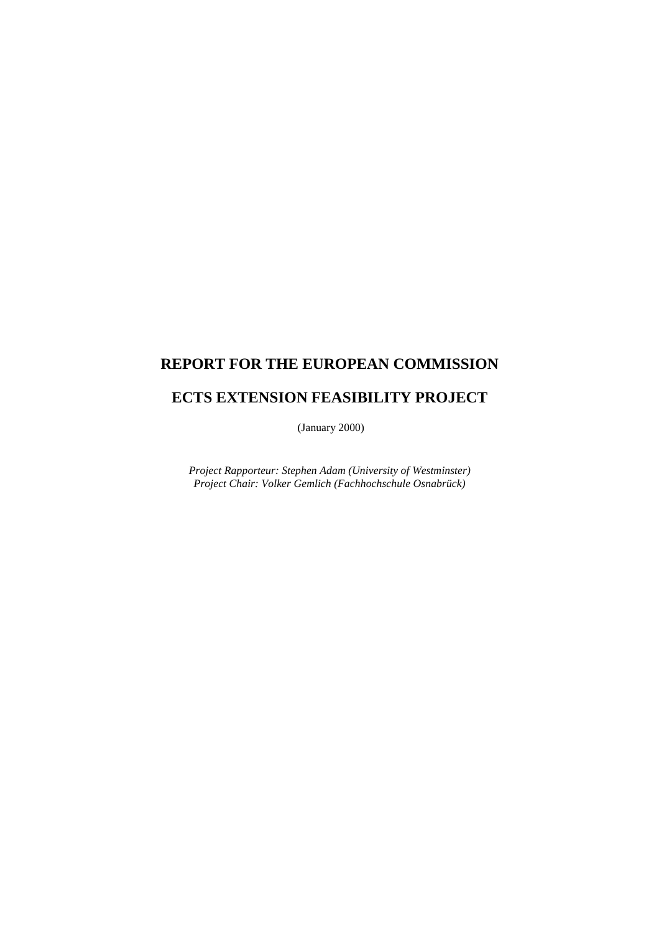# **REPORT FOR THE EUROPEAN COMMISSION ECTS EXTENSION FEASIBILITY PROJECT**

(January 2000)

*Project Rapporteur: Stephen Adam (University of Westminster) Project Chair: Volker Gemlich (Fachhochschule Osnabrück)*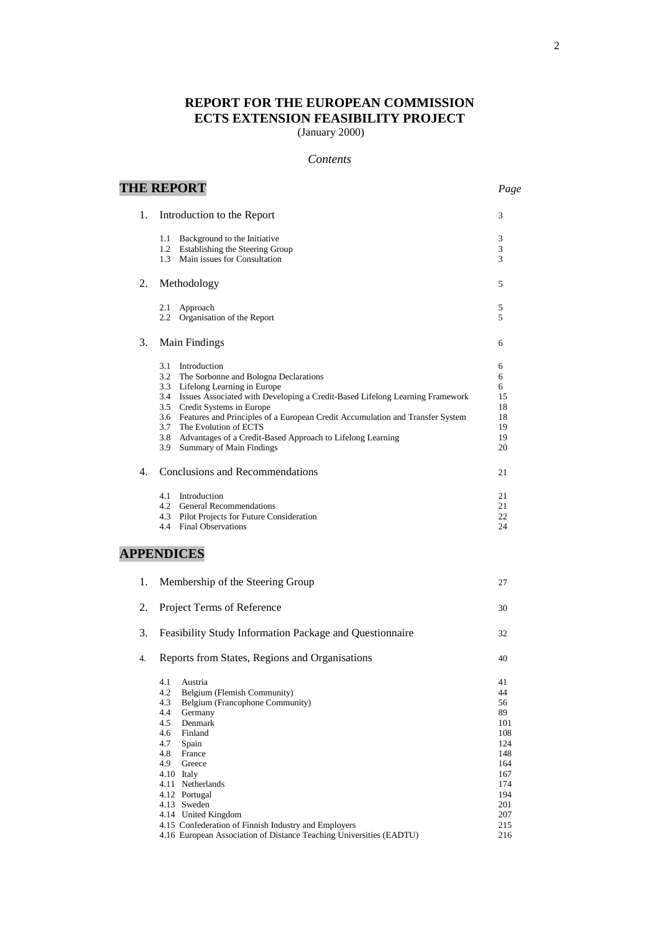# **REPORT FOR THE EUROPEAN COMMISSION ECTS EXTENSION FEASIBILITY PROJECT**

(January 2000)

# *Contents*

# **THE REPORT** *Page***1**

| I<br>٠<br>۰.<br>×<br>۰,<br>I<br>٧<br>× |  |
|----------------------------------------|--|
|                                        |  |

| 1. | Introduction to the Report                                                                                                                                                                                                                                                                                                                                                                                                                                              | 3                                                                                                 |
|----|-------------------------------------------------------------------------------------------------------------------------------------------------------------------------------------------------------------------------------------------------------------------------------------------------------------------------------------------------------------------------------------------------------------------------------------------------------------------------|---------------------------------------------------------------------------------------------------|
|    | Background to the Initiative<br>1.1<br>1.2 Establishing the Steering Group<br>1.3<br>Main issues for Consultation                                                                                                                                                                                                                                                                                                                                                       | 3<br>3<br>3                                                                                       |
| 2. | Methodology                                                                                                                                                                                                                                                                                                                                                                                                                                                             | 5                                                                                                 |
|    | 2.1<br>Approach<br>Organisation of the Report<br>2.2                                                                                                                                                                                                                                                                                                                                                                                                                    | 5<br>5                                                                                            |
| 3. | Main Findings                                                                                                                                                                                                                                                                                                                                                                                                                                                           | 6                                                                                                 |
|    | 3.1<br>Introduction<br>3.2 The Sorbonne and Bologna Declarations<br>3.3<br>Lifelong Learning in Europe<br>3.4<br>Issues Associated with Developing a Credit-Based Lifelong Learning Framework<br>3.5<br>Credit Systems in Europe<br>Features and Principles of a European Credit Accumulation and Transfer System<br>3.6<br>3.7<br>The Evolution of ECTS<br>3.8<br>Advantages of a Credit-Based Approach to Lifelong Learning<br><b>Summary of Main Findings</b><br>3.9 | 6<br>6<br>6<br>15<br>18<br>18<br>19<br>19<br>20                                                   |
| 4. | Conclusions and Recommendations                                                                                                                                                                                                                                                                                                                                                                                                                                         | 21                                                                                                |
|    | 4.1 Introduction<br>4.2<br>General Recommendations<br>4.3 Pilot Projects for Future Consideration<br>4.4 Final Observations                                                                                                                                                                                                                                                                                                                                             | 21<br>21<br>22<br>24                                                                              |
|    | <b>APPENDICES</b>                                                                                                                                                                                                                                                                                                                                                                                                                                                       |                                                                                                   |
| 1. | Membership of the Steering Group                                                                                                                                                                                                                                                                                                                                                                                                                                        | 27                                                                                                |
| 2. | Project Terms of Reference                                                                                                                                                                                                                                                                                                                                                                                                                                              | 30                                                                                                |
| 3. | Feasibility Study Information Package and Questionnaire                                                                                                                                                                                                                                                                                                                                                                                                                 | 32                                                                                                |
| 4. | Reports from States, Regions and Organisations                                                                                                                                                                                                                                                                                                                                                                                                                          | 40                                                                                                |
|    | 4.1<br>Austria<br>4.2<br>Belgium (Flemish Community)<br>4.3 Belgium (Francophone Community)<br>4.4<br>Germany<br>Denmark<br>4.5<br>4.6<br>Finland<br>4.7<br>Spain<br>4.8<br>France<br>4.9<br>Greece<br>4.10 Italy<br>4.11 Netherlands<br>4.12 Portugal<br>4.13 Sweden<br>4.14 United Kingdom<br>4.15 Confederation of Finnish Industry and Employers                                                                                                                    | 41<br>44<br>56<br>89<br>101<br>108<br>124<br>148<br>164<br>167<br>174<br>194<br>201<br>207<br>215 |

4.16 European Association of Distance Teaching Universities (EADTU) 216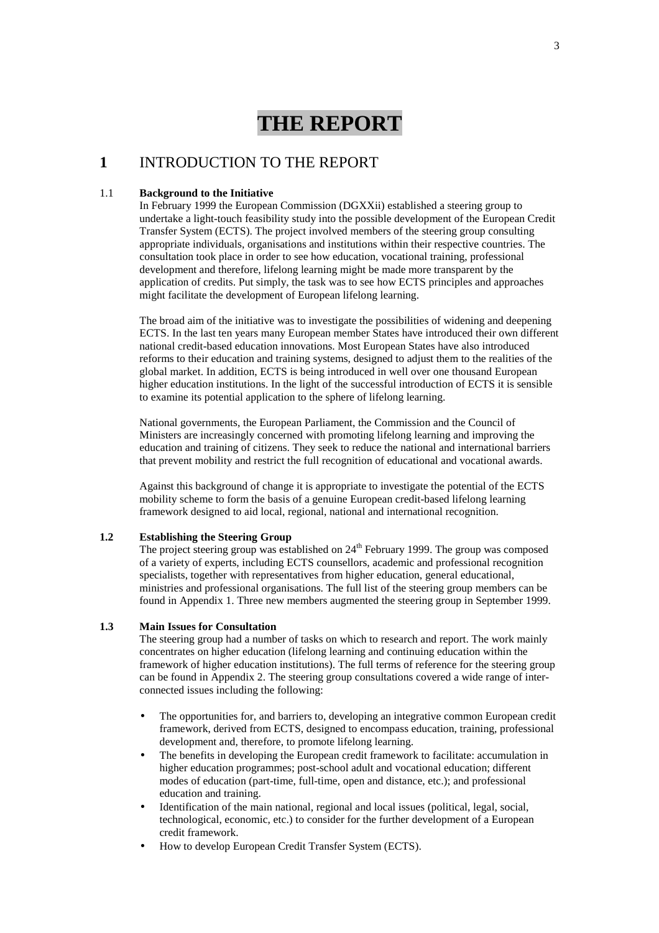# **THE REPORT**

# **1** INTRODUCTION TO THE REPORT

#### 1.1 **Background to the Initiative**

In February 1999 the European Commission (DGXXii) established a steering group to undertake a light-touch feasibility study into the possible development of the European Credit Transfer System (ECTS). The project involved members of the steering group consulting appropriate individuals, organisations and institutions within their respective countries. The consultation took place in order to see how education, vocational training, professional development and therefore, lifelong learning might be made more transparent by the application of credits. Put simply, the task was to see how ECTS principles and approaches might facilitate the development of European lifelong learning.

The broad aim of the initiative was to investigate the possibilities of widening and deepening ECTS. In the last ten years many European member States have introduced their own different national credit-based education innovations. Most European States have also introduced reforms to their education and training systems, designed to adjust them to the realities of the global market. In addition, ECTS is being introduced in well over one thousand European higher education institutions. In the light of the successful introduction of ECTS it is sensible to examine its potential application to the sphere of lifelong learning.

National governments, the European Parliament, the Commission and the Council of Ministers are increasingly concerned with promoting lifelong learning and improving the education and training of citizens. They seek to reduce the national and international barriers that prevent mobility and restrict the full recognition of educational and vocational awards.

Against this background of change it is appropriate to investigate the potential of the ECTS mobility scheme to form the basis of a genuine European credit-based lifelong learning framework designed to aid local, regional, national and international recognition.

#### **1.2 Establishing the Steering Group**

The project steering group was established on  $24<sup>th</sup>$  February 1999. The group was composed of a variety of experts, including ECTS counsellors, academic and professional recognition specialists, together with representatives from higher education, general educational, ministries and professional organisations. The full list of the steering group members can be found in Appendix 1. Three new members augmented the steering group in September 1999.

# **1.3 Main Issues for Consultation**

The steering group had a number of tasks on which to research and report. The work mainly concentrates on higher education (lifelong learning and continuing education within the framework of higher education institutions). The full terms of reference for the steering group can be found in Appendix 2. The steering group consultations covered a wide range of interconnected issues including the following:

- The opportunities for, and barriers to, developing an integrative common European credit framework, derived from ECTS, designed to encompass education, training, professional development and, therefore, to promote lifelong learning.
- The benefits in developing the European credit framework to facilitate: accumulation in higher education programmes; post-school adult and vocational education; different modes of education (part-time, full-time, open and distance, etc.); and professional education and training.
- Identification of the main national, regional and local issues (political, legal, social, technological, economic, etc.) to consider for the further development of a European credit framework.
- How to develop European Credit Transfer System (ECTS).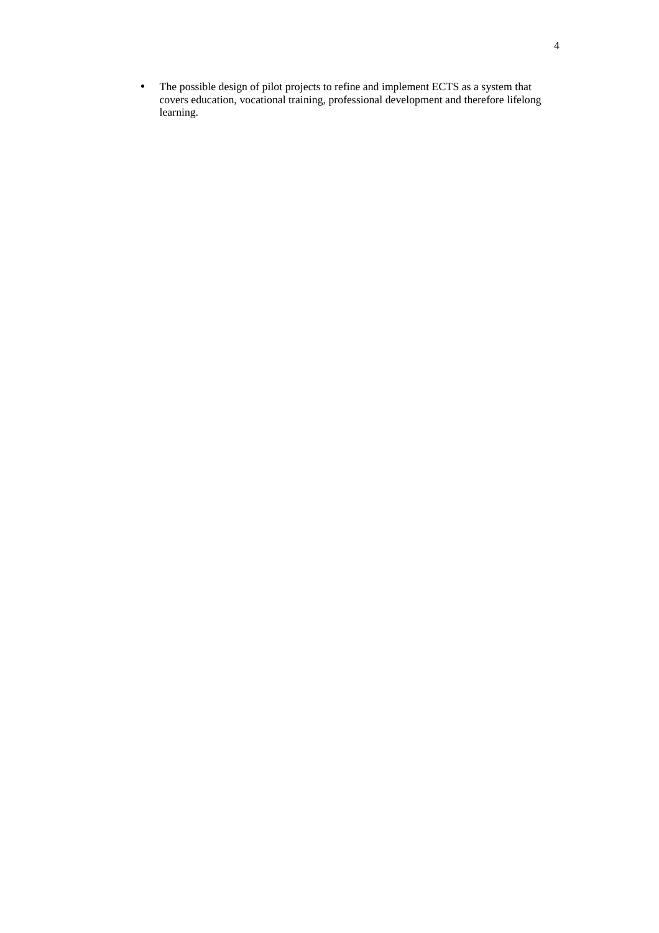• The possible design of pilot projects to refine and implement ECTS as a system that covers education, vocational training, professional development and therefore lifelong learning.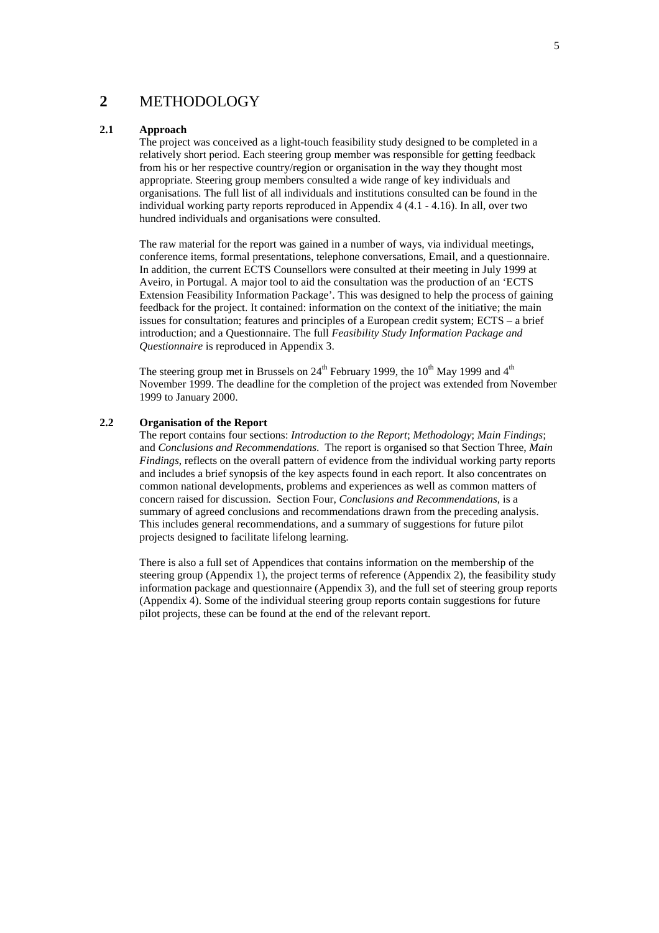# **2** METHODOLOGY

### **2.1 Approach**

The project was conceived as a light-touch feasibility study designed to be completed in a relatively short period. Each steering group member was responsible for getting feedback from his or her respective country/region or organisation in the way they thought most appropriate. Steering group members consulted a wide range of key individuals and organisations. The full list of all individuals and institutions consulted can be found in the individual working party reports reproduced in Appendix 4 (4.1 - 4.16). In all, over two hundred individuals and organisations were consulted.

The raw material for the report was gained in a number of ways, via individual meetings, conference items, formal presentations, telephone conversations, Email, and a questionnaire. In addition, the current ECTS Counsellors were consulted at their meeting in July 1999 at Aveiro, in Portugal. A major tool to aid the consultation was the production of an 'ECTS Extension Feasibility Information Package'. This was designed to help the process of gaining feedback for the project. It contained: information on the context of the initiative; the main issues for consultation; features and principles of a European credit system; ECTS – a brief introduction; and a Questionnaire. The full *Feasibility Study Information Package and Questionnaire* is reproduced in Appendix 3.

The steering group met in Brussels on  $24<sup>th</sup>$  February 1999, the 10<sup>th</sup> May 1999 and  $4<sup>th</sup>$ November 1999. The deadline for the completion of the project was extended from November 1999 to January 2000.

## **2.2 Organisation of the Report**

The report contains four sections: *Introduction to the Report*; *Methodology*; *Main Findings*; and *Conclusions and Recommendations*. The report is organised so that Section Three, *Main Findings*, reflects on the overall pattern of evidence from the individual working party reports and includes a brief synopsis of the key aspects found in each report. It also concentrates on common national developments, problems and experiences as well as common matters of concern raised for discussion. Section Four, *Conclusions and Recommendations*, is a summary of agreed conclusions and recommendations drawn from the preceding analysis. This includes general recommendations, and a summary of suggestions for future pilot projects designed to facilitate lifelong learning.

There is also a full set of Appendices that contains information on the membership of the steering group (Appendix 1), the project terms of reference (Appendix 2), the feasibility study information package and questionnaire (Appendix 3), and the full set of steering group reports (Appendix 4). Some of the individual steering group reports contain suggestions for future pilot projects, these can be found at the end of the relevant report.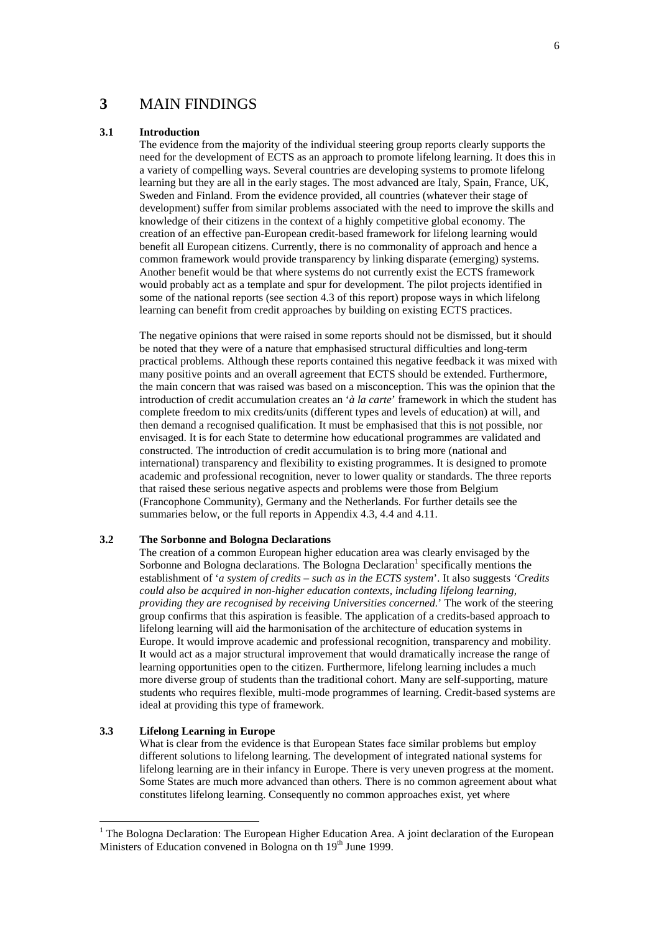# **3** MAIN FINDINGS

#### **3.1 Introduction**

The evidence from the majority of the individual steering group reports clearly supports the need for the development of ECTS as an approach to promote lifelong learning. It does this in a variety of compelling ways. Several countries are developing systems to promote lifelong learning but they are all in the early stages. The most advanced are Italy, Spain, France, UK, Sweden and Finland. From the evidence provided, all countries (whatever their stage of development) suffer from similar problems associated with the need to improve the skills and knowledge of their citizens in the context of a highly competitive global economy. The creation of an effective pan-European credit-based framework for lifelong learning would benefit all European citizens. Currently, there is no commonality of approach and hence a common framework would provide transparency by linking disparate (emerging) systems. Another benefit would be that where systems do not currently exist the ECTS framework would probably act as a template and spur for development. The pilot projects identified in some of the national reports (see section 4.3 of this report) propose ways in which lifelong learning can benefit from credit approaches by building on existing ECTS practices.

The negative opinions that were raised in some reports should not be dismissed, but it should be noted that they were of a nature that emphasised structural difficulties and long-term practical problems. Although these reports contained this negative feedback it was mixed with many positive points and an overall agreement that ECTS should be extended. Furthermore, the main concern that was raised was based on a misconception. This was the opinion that the introduction of credit accumulation creates an '*à la carte*' framework in which the student has complete freedom to mix credits/units (different types and levels of education) at will, and then demand a recognised qualification. It must be emphasised that this is not possible, nor envisaged. It is for each State to determine how educational programmes are validated and constructed. The introduction of credit accumulation is to bring more (national and international) transparency and flexibility to existing programmes. It is designed to promote academic and professional recognition, never to lower quality or standards. The three reports that raised these serious negative aspects and problems were those from Belgium (Francophone Community), Germany and the Netherlands. For further details see the summaries below, or the full reports in Appendix 4.3, 4.4 and 4.11.

## **3.2 The Sorbonne and Bologna Declarations**

The creation of a common European higher education area was clearly envisaged by the Sorbonne and Bologna declarations. The Bologna Declaration<sup>1</sup> specifically mentions the establishment of '*a system of credits – such as in the ECTS system*'. It also suggests *'Credits could also be acquired in non-higher education contexts, including lifelong learning, providing they are recognised by receiving Universities concerned.*' The work of the steering group confirms that this aspiration is feasible. The application of a credits-based approach to lifelong learning will aid the harmonisation of the architecture of education systems in Europe. It would improve academic and professional recognition, transparency and mobility. It would act as a major structural improvement that would dramatically increase the range of learning opportunities open to the citizen. Furthermore, lifelong learning includes a much more diverse group of students than the traditional cohort. Many are self-supporting, mature students who requires flexible, multi-mode programmes of learning. Credit-based systems are ideal at providing this type of framework.

#### **3.3 Lifelong Learning in Europe**

What is clear from the evidence is that European States face similar problems but employ different solutions to lifelong learning. The development of integrated national systems for lifelong learning are in their infancy in Europe. There is very uneven progress at the moment. Some States are much more advanced than others. There is no common agreement about what constitutes lifelong learning. Consequently no common approaches exist, yet where

<sup>&</sup>lt;sup>1</sup> The Bologna Declaration: The European Higher Education Area. A joint declaration of the European Ministers of Education convened in Bologna on th 19<sup>th</sup> June 1999.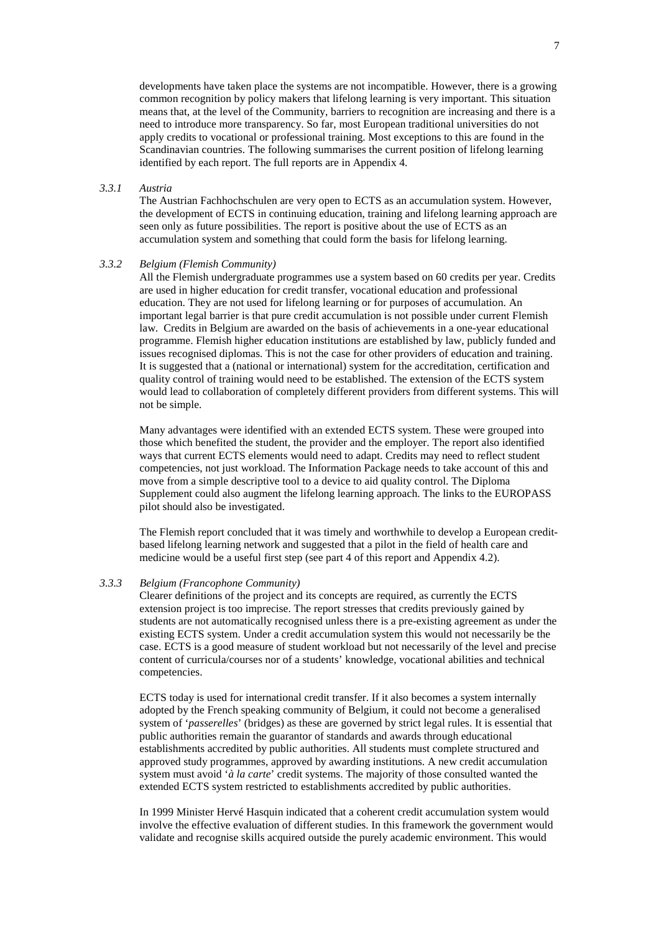developments have taken place the systems are not incompatible. However, there is a growing common recognition by policy makers that lifelong learning is very important. This situation means that, at the level of the Community, barriers to recognition are increasing and there is a need to introduce more transparency. So far, most European traditional universities do not apply credits to vocational or professional training. Most exceptions to this are found in the Scandinavian countries. The following summarises the current position of lifelong learning identified by each report. The full reports are in Appendix 4.

## *3.3.1 Austria*

The Austrian Fachhochschulen are very open to ECTS as an accumulation system. However, the development of ECTS in continuing education, training and lifelong learning approach are seen only as future possibilities. The report is positive about the use of ECTS as an accumulation system and something that could form the basis for lifelong learning.

#### *3.3.2 Belgium (Flemish Community)*

All the Flemish undergraduate programmes use a system based on 60 credits per year. Credits are used in higher education for credit transfer, vocational education and professional education. They are not used for lifelong learning or for purposes of accumulation. An important legal barrier is that pure credit accumulation is not possible under current Flemish law. Credits in Belgium are awarded on the basis of achievements in a one-year educational programme. Flemish higher education institutions are established by law, publicly funded and issues recognised diplomas. This is not the case for other providers of education and training. It is suggested that a (national or international) system for the accreditation, certification and quality control of training would need to be established. The extension of the ECTS system would lead to collaboration of completely different providers from different systems. This will not be simple.

Many advantages were identified with an extended ECTS system. These were grouped into those which benefited the student, the provider and the employer. The report also identified ways that current ECTS elements would need to adapt. Credits may need to reflect student competencies, not just workload. The Information Package needs to take account of this and move from a simple descriptive tool to a device to aid quality control. The Diploma Supplement could also augment the lifelong learning approach. The links to the EUROPASS pilot should also be investigated.

The Flemish report concluded that it was timely and worthwhile to develop a European creditbased lifelong learning network and suggested that a pilot in the field of health care and medicine would be a useful first step (see part 4 of this report and Appendix 4.2).

# *3.3.3 Belgium (Francophone Community)*

Clearer definitions of the project and its concepts are required, as currently the ECTS extension project is too imprecise. The report stresses that credits previously gained by students are not automatically recognised unless there is a pre-existing agreement as under the existing ECTS system. Under a credit accumulation system this would not necessarily be the case. ECTS is a good measure of student workload but not necessarily of the level and precise content of curricula/courses nor of a students' knowledge, vocational abilities and technical competencies.

ECTS today is used for international credit transfer. If it also becomes a system internally adopted by the French speaking community of Belgium, it could not become a generalised system of '*passerelles*' (bridges) as these are governed by strict legal rules. It is essential that public authorities remain the guarantor of standards and awards through educational establishments accredited by public authorities. All students must complete structured and approved study programmes, approved by awarding institutions. A new credit accumulation system must avoid '*à la carte*' credit systems. The majority of those consulted wanted the extended ECTS system restricted to establishments accredited by public authorities.

In 1999 Minister Hervé Hasquin indicated that a coherent credit accumulation system would involve the effective evaluation of different studies. In this framework the government would validate and recognise skills acquired outside the purely academic environment. This would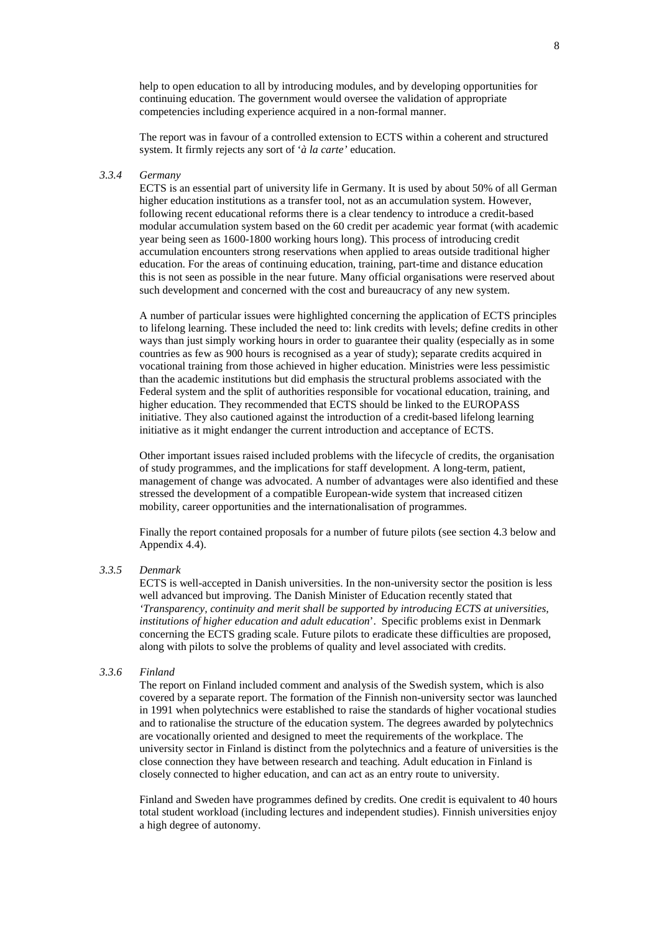help to open education to all by introducing modules, and by developing opportunities for continuing education. The government would oversee the validation of appropriate competencies including experience acquired in a non-formal manner.

The report was in favour of a controlled extension to ECTS within a coherent and structured system. It firmly rejects any sort of '*à la carte'* education.

#### *3.3.4 Germany*

ECTS is an essential part of university life in Germany. It is used by about 50% of all German higher education institutions as a transfer tool, not as an accumulation system. However, following recent educational reforms there is a clear tendency to introduce a credit-based modular accumulation system based on the 60 credit per academic year format (with academic year being seen as 1600-1800 working hours long). This process of introducing credit accumulation encounters strong reservations when applied to areas outside traditional higher education. For the areas of continuing education, training, part-time and distance education this is not seen as possible in the near future. Many official organisations were reserved about such development and concerned with the cost and bureaucracy of any new system.

A number of particular issues were highlighted concerning the application of ECTS principles to lifelong learning. These included the need to: link credits with levels; define credits in other ways than just simply working hours in order to guarantee their quality (especially as in some countries as few as 900 hours is recognised as a year of study); separate credits acquired in vocational training from those achieved in higher education. Ministries were less pessimistic than the academic institutions but did emphasis the structural problems associated with the Federal system and the split of authorities responsible for vocational education, training, and higher education. They recommended that ECTS should be linked to the EUROPASS initiative. They also cautioned against the introduction of a credit-based lifelong learning initiative as it might endanger the current introduction and acceptance of ECTS.

Other important issues raised included problems with the lifecycle of credits, the organisation of study programmes, and the implications for staff development. A long-term, patient, management of change was advocated. A number of advantages were also identified and these stressed the development of a compatible European-wide system that increased citizen mobility, career opportunities and the internationalisation of programmes.

Finally the report contained proposals for a number of future pilots (see section 4.3 below and Appendix 4.4).

#### *3.3.5 Denmark*

ECTS is well-accepted in Danish universities. In the non-university sector the position is less well advanced but improving. The Danish Minister of Education recently stated that *'Transparency, continuity and merit shall be supported by introducing ECTS at universities, institutions of higher education and adult education*'. Specific problems exist in Denmark concerning the ECTS grading scale. Future pilots to eradicate these difficulties are proposed, along with pilots to solve the problems of quality and level associated with credits.

#### *3.3.6 Finland*

The report on Finland included comment and analysis of the Swedish system, which is also covered by a separate report. The formation of the Finnish non-university sector was launched in 1991 when polytechnics were established to raise the standards of higher vocational studies and to rationalise the structure of the education system. The degrees awarded by polytechnics are vocationally oriented and designed to meet the requirements of the workplace. The university sector in Finland is distinct from the polytechnics and a feature of universities is the close connection they have between research and teaching. Adult education in Finland is closely connected to higher education, and can act as an entry route to university.

Finland and Sweden have programmes defined by credits. One credit is equivalent to 40 hours total student workload (including lectures and independent studies). Finnish universities enjoy a high degree of autonomy.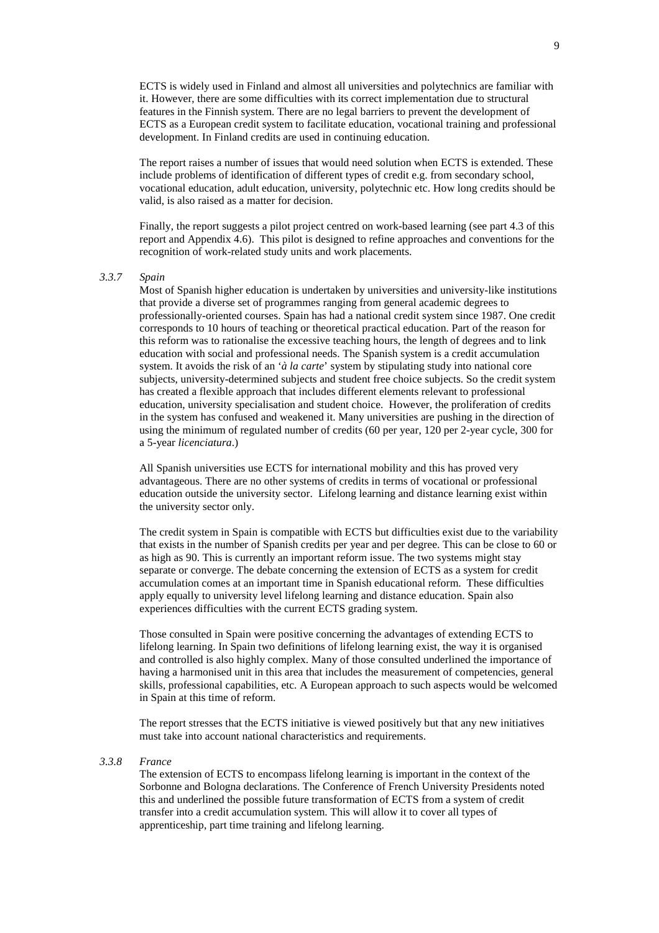ECTS is widely used in Finland and almost all universities and polytechnics are familiar with it. However, there are some difficulties with its correct implementation due to structural features in the Finnish system. There are no legal barriers to prevent the development of ECTS as a European credit system to facilitate education, vocational training and professional development. In Finland credits are used in continuing education.

The report raises a number of issues that would need solution when ECTS is extended. These include problems of identification of different types of credit e.g. from secondary school, vocational education, adult education, university, polytechnic etc. How long credits should be valid, is also raised as a matter for decision.

Finally, the report suggests a pilot project centred on work-based learning (see part 4.3 of this report and Appendix 4.6). This pilot is designed to refine approaches and conventions for the recognition of work-related study units and work placements.

#### *3.3.7 Spain*

Most of Spanish higher education is undertaken by universities and university-like institutions that provide a diverse set of programmes ranging from general academic degrees to professionally-oriented courses. Spain has had a national credit system since 1987. One credit corresponds to 10 hours of teaching or theoretical practical education. Part of the reason for this reform was to rationalise the excessive teaching hours, the length of degrees and to link education with social and professional needs. The Spanish system is a credit accumulation system. It avoids the risk of an '*à la carte*' system by stipulating study into national core subjects, university-determined subjects and student free choice subjects. So the credit system has created a flexible approach that includes different elements relevant to professional education, university specialisation and student choice. However, the proliferation of credits in the system has confused and weakened it. Many universities are pushing in the direction of using the minimum of regulated number of credits (60 per year, 120 per 2-year cycle, 300 for a 5-year *licenciatura*.)

All Spanish universities use ECTS for international mobility and this has proved very advantageous. There are no other systems of credits in terms of vocational or professional education outside the university sector. Lifelong learning and distance learning exist within the university sector only.

The credit system in Spain is compatible with ECTS but difficulties exist due to the variability that exists in the number of Spanish credits per year and per degree. This can be close to 60 or as high as 90. This is currently an important reform issue. The two systems might stay separate or converge. The debate concerning the extension of ECTS as a system for credit accumulation comes at an important time in Spanish educational reform. These difficulties apply equally to university level lifelong learning and distance education. Spain also experiences difficulties with the current ECTS grading system.

Those consulted in Spain were positive concerning the advantages of extending ECTS to lifelong learning. In Spain two definitions of lifelong learning exist, the way it is organised and controlled is also highly complex. Many of those consulted underlined the importance of having a harmonised unit in this area that includes the measurement of competencies, general skills, professional capabilities, etc. A European approach to such aspects would be welcomed in Spain at this time of reform.

The report stresses that the ECTS initiative is viewed positively but that any new initiatives must take into account national characteristics and requirements.

#### *3.3.8 France*

The extension of ECTS to encompass lifelong learning is important in the context of the Sorbonne and Bologna declarations. The Conference of French University Presidents noted this and underlined the possible future transformation of ECTS from a system of credit transfer into a credit accumulation system. This will allow it to cover all types of apprenticeship, part time training and lifelong learning.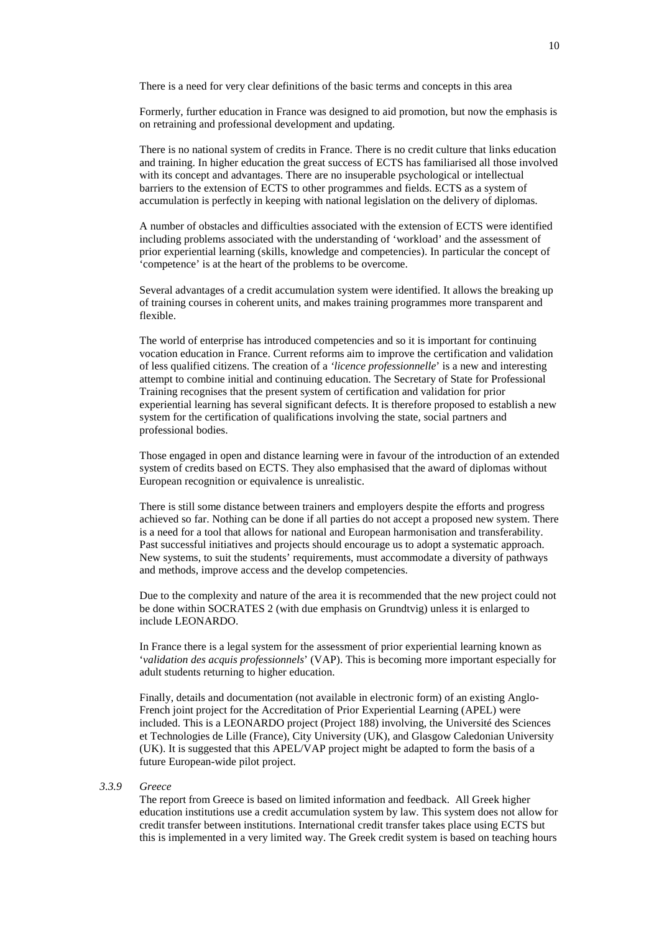There is a need for very clear definitions of the basic terms and concepts in this area

Formerly, further education in France was designed to aid promotion, but now the emphasis is on retraining and professional development and updating.

There is no national system of credits in France. There is no credit culture that links education and training. In higher education the great success of ECTS has familiarised all those involved with its concept and advantages. There are no insuperable psychological or intellectual barriers to the extension of ECTS to other programmes and fields. ECTS as a system of accumulation is perfectly in keeping with national legislation on the delivery of diplomas.

A number of obstacles and difficulties associated with the extension of ECTS were identified including problems associated with the understanding of 'workload' and the assessment of prior experiential learning (skills, knowledge and competencies). In particular the concept of 'competence' is at the heart of the problems to be overcome.

Several advantages of a credit accumulation system were identified. It allows the breaking up of training courses in coherent units, and makes training programmes more transparent and flexible.

The world of enterprise has introduced competencies and so it is important for continuing vocation education in France. Current reforms aim to improve the certification and validation of less qualified citizens. The creation of a *'licence professionnelle*' is a new and interesting attempt to combine initial and continuing education. The Secretary of State for Professional Training recognises that the present system of certification and validation for prior experiential learning has several significant defects. It is therefore proposed to establish a new system for the certification of qualifications involving the state, social partners and professional bodies.

Those engaged in open and distance learning were in favour of the introduction of an extended system of credits based on ECTS. They also emphasised that the award of diplomas without European recognition or equivalence is unrealistic.

There is still some distance between trainers and employers despite the efforts and progress achieved so far. Nothing can be done if all parties do not accept a proposed new system. There is a need for a tool that allows for national and European harmonisation and transferability. Past successful initiatives and projects should encourage us to adopt a systematic approach. New systems, to suit the students' requirements, must accommodate a diversity of pathways and methods, improve access and the develop competencies.

Due to the complexity and nature of the area it is recommended that the new project could not be done within SOCRATES 2 (with due emphasis on Grundtvig) unless it is enlarged to include LEONARDO.

In France there is a legal system for the assessment of prior experiential learning known as '*validation des acquis professionnels*' (VAP). This is becoming more important especially for adult students returning to higher education.

Finally, details and documentation (not available in electronic form) of an existing Anglo-French joint project for the Accreditation of Prior Experiential Learning (APEL) were included. This is a LEONARDO project (Project 188) involving, the Université des Sciences et Technologies de Lille (France), City University (UK), and Glasgow Caledonian University (UK). It is suggested that this APEL/VAP project might be adapted to form the basis of a future European-wide pilot project.

#### *3.3.9 Greece*

The report from Greece is based on limited information and feedback. All Greek higher education institutions use a credit accumulation system by law. This system does not allow for credit transfer between institutions. International credit transfer takes place using ECTS but this is implemented in a very limited way. The Greek credit system is based on teaching hours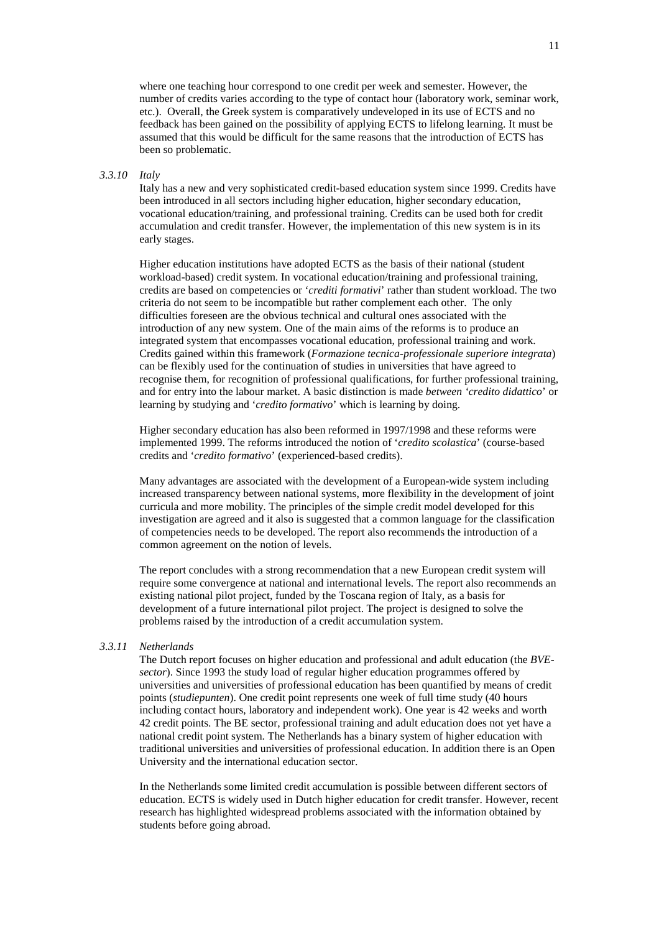where one teaching hour correspond to one credit per week and semester. However, the number of credits varies according to the type of contact hour (laboratory work, seminar work, etc.). Overall, the Greek system is comparatively undeveloped in its use of ECTS and no feedback has been gained on the possibility of applying ECTS to lifelong learning. It must be assumed that this would be difficult for the same reasons that the introduction of ECTS has been so problematic.

# *3.3.10 Italy*

Italy has a new and very sophisticated credit-based education system since 1999. Credits have been introduced in all sectors including higher education, higher secondary education, vocational education/training, and professional training. Credits can be used both for credit accumulation and credit transfer. However, the implementation of this new system is in its early stages.

Higher education institutions have adopted ECTS as the basis of their national (student workload-based) credit system. In vocational education/training and professional training, credits are based on competencies or '*crediti formativi*' rather than student workload. The two criteria do not seem to be incompatible but rather complement each other. The only difficulties foreseen are the obvious technical and cultural ones associated with the introduction of any new system. One of the main aims of the reforms is to produce an integrated system that encompasses vocational education, professional training and work. Credits gained within this framework (*Formazione tecnica-professionale superiore integrata*) can be flexibly used for the continuation of studies in universities that have agreed to recognise them, for recognition of professional qualifications, for further professional training, and for entry into the labour market. A basic distinction is made *between 'credito didattico*' or learning by studying and '*credito formativo*' which is learning by doing.

Higher secondary education has also been reformed in 1997/1998 and these reforms were implemented 1999. The reforms introduced the notion of '*credito scolastica*' (course-based credits and '*credito formativo*' (experienced-based credits).

Many advantages are associated with the development of a European-wide system including increased transparency between national systems, more flexibility in the development of joint curricula and more mobility. The principles of the simple credit model developed for this investigation are agreed and it also is suggested that a common language for the classification of competencies needs to be developed. The report also recommends the introduction of a common agreement on the notion of levels.

The report concludes with a strong recommendation that a new European credit system will require some convergence at national and international levels. The report also recommends an existing national pilot project, funded by the Toscana region of Italy, as a basis for development of a future international pilot project. The project is designed to solve the problems raised by the introduction of a credit accumulation system.

#### *3.3.11 Netherlands*

The Dutch report focuses on higher education and professional and adult education (the *BVEsector*). Since 1993 the study load of regular higher education programmes offered by universities and universities of professional education has been quantified by means of credit points (*studiepunten*). One credit point represents one week of full time study (40 hours including contact hours, laboratory and independent work). One year is 42 weeks and worth 42 credit points. The BE sector, professional training and adult education does not yet have a national credit point system. The Netherlands has a binary system of higher education with traditional universities and universities of professional education. In addition there is an Open University and the international education sector.

In the Netherlands some limited credit accumulation is possible between different sectors of education. ECTS is widely used in Dutch higher education for credit transfer. However, recent research has highlighted widespread problems associated with the information obtained by students before going abroad.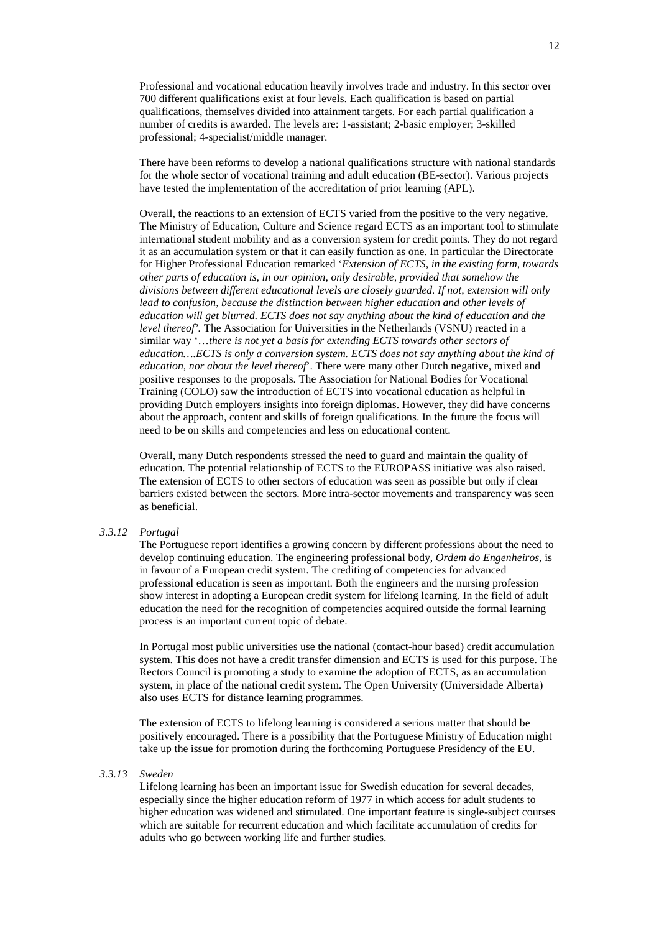Professional and vocational education heavily involves trade and industry. In this sector over 700 different qualifications exist at four levels. Each qualification is based on partial qualifications, themselves divided into attainment targets. For each partial qualification a number of credits is awarded. The levels are: 1-assistant; 2-basic employer; 3-skilled professional; 4-specialist/middle manager.

There have been reforms to develop a national qualifications structure with national standards for the whole sector of vocational training and adult education (BE-sector). Various projects have tested the implementation of the accreditation of prior learning (APL).

Overall, the reactions to an extension of ECTS varied from the positive to the very negative. The Ministry of Education, Culture and Science regard ECTS as an important tool to stimulate international student mobility and as a conversion system for credit points. They do not regard it as an accumulation system or that it can easily function as one. In particular the Directorate for Higher Professional Education remarked '*Extension of ECTS, in the existing form, towards other parts of education is, in our opinion, only desirable, provided that somehow the divisions between different educational levels are closely guarded. If not, extension will only lead to confusion, because the distinction between higher education and other levels of education will get blurred. ECTS does not say anything about the kind of education and the level thereof'*. The Association for Universities in the Netherlands (VSNU) reacted in a similar way '…*there is not yet a basis for extending ECTS towards other sectors of education….ECTS is only a conversion system. ECTS does not say anything about the kind of education, nor about the level thereof*'. There were many other Dutch negative, mixed and positive responses to the proposals. The Association for National Bodies for Vocational Training (COLO) saw the introduction of ECTS into vocational education as helpful in providing Dutch employers insights into foreign diplomas. However, they did have concerns about the approach, content and skills of foreign qualifications. In the future the focus will need to be on skills and competencies and less on educational content.

Overall, many Dutch respondents stressed the need to guard and maintain the quality of education. The potential relationship of ECTS to the EUROPASS initiative was also raised. The extension of ECTS to other sectors of education was seen as possible but only if clear barriers existed between the sectors. More intra-sector movements and transparency was seen as beneficial.

# *3.3.12 Portugal*

The Portuguese report identifies a growing concern by different professions about the need to develop continuing education. The engineering professional body, *Ordem do Engenheiros,* is in favour of a European credit system. The crediting of competencies for advanced professional education is seen as important. Both the engineers and the nursing profession show interest in adopting a European credit system for lifelong learning. In the field of adult education the need for the recognition of competencies acquired outside the formal learning process is an important current topic of debate.

In Portugal most public universities use the national (contact-hour based) credit accumulation system. This does not have a credit transfer dimension and ECTS is used for this purpose. The Rectors Council is promoting a study to examine the adoption of ECTS, as an accumulation system, in place of the national credit system. The Open University (Universidade Alberta) also uses ECTS for distance learning programmes.

The extension of ECTS to lifelong learning is considered a serious matter that should be positively encouraged. There is a possibility that the Portuguese Ministry of Education might take up the issue for promotion during the forthcoming Portuguese Presidency of the EU.

#### *3.3.13 Sweden*

Lifelong learning has been an important issue for Swedish education for several decades, especially since the higher education reform of 1977 in which access for adult students to higher education was widened and stimulated. One important feature is single-subject courses which are suitable for recurrent education and which facilitate accumulation of credits for adults who go between working life and further studies.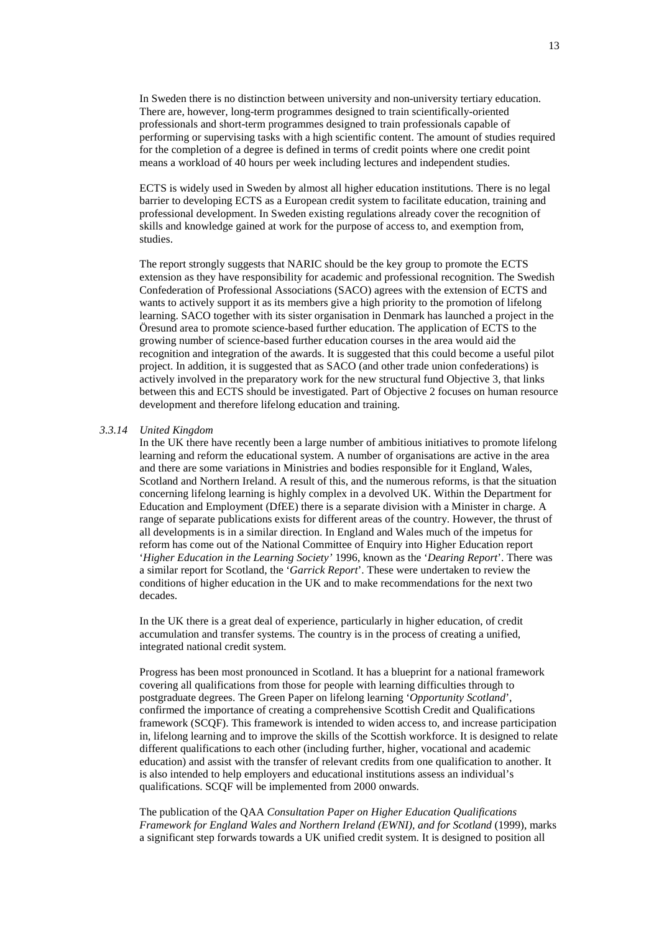In Sweden there is no distinction between university and non-university tertiary education. There are, however, long-term programmes designed to train scientifically-oriented professionals and short-term programmes designed to train professionals capable of performing or supervising tasks with a high scientific content. The amount of studies required for the completion of a degree is defined in terms of credit points where one credit point means a workload of 40 hours per week including lectures and independent studies.

ECTS is widely used in Sweden by almost all higher education institutions. There is no legal barrier to developing ECTS as a European credit system to facilitate education, training and professional development. In Sweden existing regulations already cover the recognition of skills and knowledge gained at work for the purpose of access to, and exemption from, studies.

The report strongly suggests that NARIC should be the key group to promote the ECTS extension as they have responsibility for academic and professional recognition. The Swedish Confederation of Professional Associations (SACO) agrees with the extension of ECTS and wants to actively support it as its members give a high priority to the promotion of lifelong learning. SACO together with its sister organisation in Denmark has launched a project in the Öresund area to promote science-based further education. The application of ECTS to the growing number of science-based further education courses in the area would aid the recognition and integration of the awards. It is suggested that this could become a useful pilot project. In addition, it is suggested that as SACO (and other trade union confederations) is actively involved in the preparatory work for the new structural fund Objective 3, that links between this and ECTS should be investigated. Part of Objective 2 focuses on human resource development and therefore lifelong education and training.

#### *3.3.14 United Kingdom*

In the UK there have recently been a large number of ambitious initiatives to promote lifelong learning and reform the educational system. A number of organisations are active in the area and there are some variations in Ministries and bodies responsible for it England, Wales, Scotland and Northern Ireland. A result of this, and the numerous reforms, is that the situation concerning lifelong learning is highly complex in a devolved UK. Within the Department for Education and Employment (DfEE) there is a separate division with a Minister in charge. A range of separate publications exists for different areas of the country. However, the thrust of all developments is in a similar direction. In England and Wales much of the impetus for reform has come out of the National Committee of Enquiry into Higher Education report '*Higher Education in the Learning Society'* 1996, known as the '*Dearing Report*'. There was a similar report for Scotland, the '*Garrick Report*'. These were undertaken to review the conditions of higher education in the UK and to make recommendations for the next two decades.

In the UK there is a great deal of experience, particularly in higher education, of credit accumulation and transfer systems. The country is in the process of creating a unified, integrated national credit system.

Progress has been most pronounced in Scotland. It has a blueprint for a national framework covering all qualifications from those for people with learning difficulties through to postgraduate degrees. The Green Paper on lifelong learning '*Opportunity Scotland*', confirmed the importance of creating a comprehensive Scottish Credit and Qualifications framework (SCQF). This framework is intended to widen access to, and increase participation in, lifelong learning and to improve the skills of the Scottish workforce. It is designed to relate different qualifications to each other (including further, higher, vocational and academic education) and assist with the transfer of relevant credits from one qualification to another. It is also intended to help employers and educational institutions assess an individual's qualifications. SCQF will be implemented from 2000 onwards.

The publication of the QAA *Consultation Paper on Higher Education Qualifications Framework for England Wales and Northern Ireland (EWNI), and for Scotland* (1999), marks a significant step forwards towards a UK unified credit system. It is designed to position all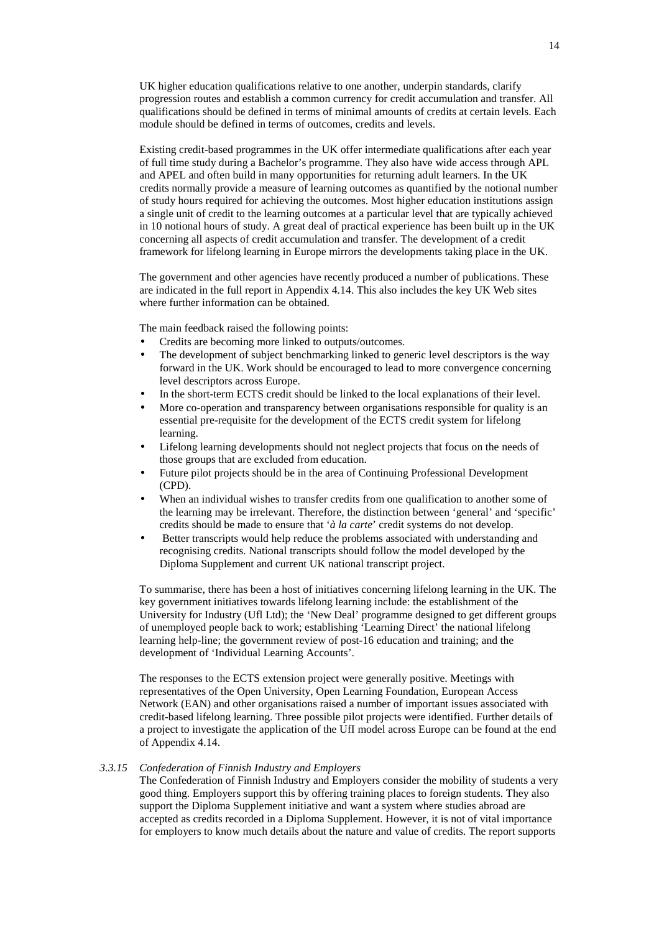UK higher education qualifications relative to one another, underpin standards, clarify progression routes and establish a common currency for credit accumulation and transfer. All qualifications should be defined in terms of minimal amounts of credits at certain levels. Each module should be defined in terms of outcomes, credits and levels.

Existing credit-based programmes in the UK offer intermediate qualifications after each year of full time study during a Bachelor's programme. They also have wide access through APL and APEL and often build in many opportunities for returning adult learners. In the UK credits normally provide a measure of learning outcomes as quantified by the notional number of study hours required for achieving the outcomes. Most higher education institutions assign a single unit of credit to the learning outcomes at a particular level that are typically achieved in 10 notional hours of study. A great deal of practical experience has been built up in the UK concerning all aspects of credit accumulation and transfer. The development of a credit framework for lifelong learning in Europe mirrors the developments taking place in the UK.

The government and other agencies have recently produced a number of publications. These are indicated in the full report in Appendix 4.14. This also includes the key UK Web sites where further information can be obtained.

The main feedback raised the following points:

- Credits are becoming more linked to outputs/outcomes.
- The development of subject benchmarking linked to generic level descriptors is the way forward in the UK. Work should be encouraged to lead to more convergence concerning level descriptors across Europe.
- In the short-term ECTS credit should be linked to the local explanations of their level.
- More co-operation and transparency between organisations responsible for quality is an essential pre-requisite for the development of the ECTS credit system for lifelong learning.
- Lifelong learning developments should not neglect projects that focus on the needs of those groups that are excluded from education.
- Future pilot projects should be in the area of Continuing Professional Development (CPD).
- When an individual wishes to transfer credits from one qualification to another some of the learning may be irrelevant. Therefore, the distinction between 'general' and 'specific' credits should be made to ensure that '*à la carte*' credit systems do not develop.
- Better transcripts would help reduce the problems associated with understanding and recognising credits. National transcripts should follow the model developed by the Diploma Supplement and current UK national transcript project.

To summarise, there has been a host of initiatives concerning lifelong learning in the UK. The key government initiatives towards lifelong learning include: the establishment of the University for Industry (Ufl Ltd); the 'New Deal' programme designed to get different groups of unemployed people back to work; establishing 'Learning Direct' the national lifelong learning help-line; the government review of post-16 education and training; and the development of 'Individual Learning Accounts'.

The responses to the ECTS extension project were generally positive. Meetings with representatives of the Open University, Open Learning Foundation, European Access Network (EAN) and other organisations raised a number of important issues associated with credit-based lifelong learning. Three possible pilot projects were identified. Further details of a project to investigate the application of the UfI model across Europe can be found at the end of Appendix 4.14.

#### *3.3.15 Confederation of Finnish Industry and Employers*

The Confederation of Finnish Industry and Employers consider the mobility of students a very good thing. Employers support this by offering training places to foreign students. They also support the Diploma Supplement initiative and want a system where studies abroad are accepted as credits recorded in a Diploma Supplement. However, it is not of vital importance for employers to know much details about the nature and value of credits. The report supports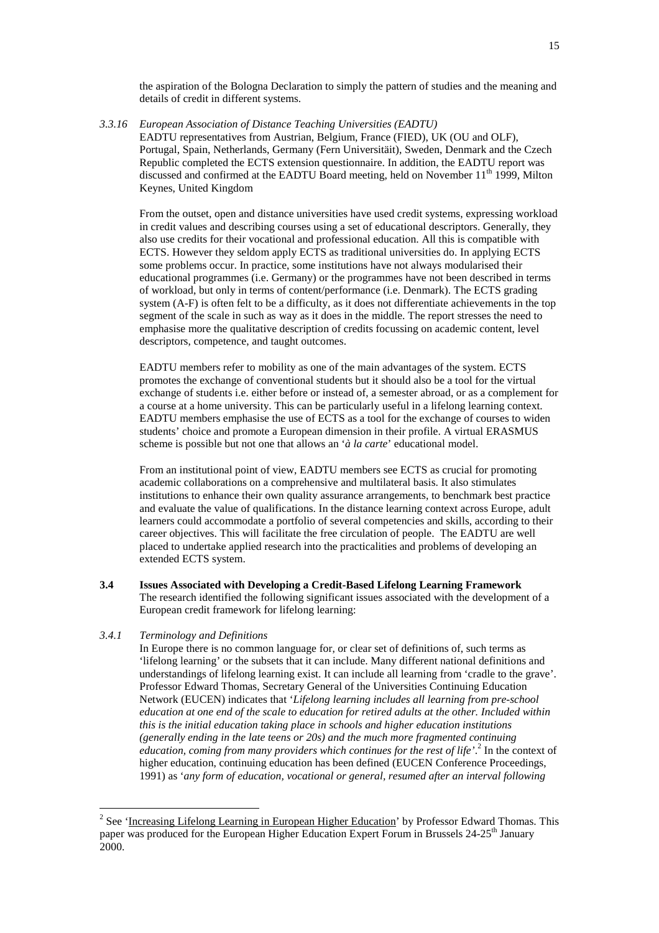the aspiration of the Bologna Declaration to simply the pattern of studies and the meaning and details of credit in different systems.

*3.3.16 European Association of Distance Teaching Universities (EADTU)* EADTU representatives from Austrian, Belgium, France (FIED), UK (OU and OLF), Portugal, Spain, Netherlands, Germany (Fern Universitäit), Sweden, Denmark and the Czech Republic completed the ECTS extension questionnaire. In addition, the EADTU report was discussed and confirmed at the EADTU Board meeting, held on November 11<sup>th</sup> 1999, Milton

From the outset, open and distance universities have used credit systems, expressing workload in credit values and describing courses using a set of educational descriptors. Generally, they also use credits for their vocational and professional education. All this is compatible with ECTS. However they seldom apply ECTS as traditional universities do. In applying ECTS some problems occur. In practice, some institutions have not always modularised their educational programmes (i.e. Germany) or the programmes have not been described in terms of workload, but only in terms of content/performance (i.e. Denmark). The ECTS grading system (A-F) is often felt to be a difficulty, as it does not differentiate achievements in the top segment of the scale in such as way as it does in the middle. The report stresses the need to emphasise more the qualitative description of credits focussing on academic content, level descriptors, competence, and taught outcomes.

EADTU members refer to mobility as one of the main advantages of the system. ECTS promotes the exchange of conventional students but it should also be a tool for the virtual exchange of students i.e. either before or instead of, a semester abroad, or as a complement for a course at a home university. This can be particularly useful in a lifelong learning context. EADTU members emphasise the use of ECTS as a tool for the exchange of courses to widen students' choice and promote a European dimension in their profile. A virtual ERASMUS scheme is possible but not one that allows an '*à la carte*' educational model.

From an institutional point of view, EADTU members see ECTS as crucial for promoting academic collaborations on a comprehensive and multilateral basis. It also stimulates institutions to enhance their own quality assurance arrangements, to benchmark best practice and evaluate the value of qualifications. In the distance learning context across Europe, adult learners could accommodate a portfolio of several competencies and skills, according to their career objectives. This will facilitate the free circulation of people. The EADTU are well placed to undertake applied research into the practicalities and problems of developing an extended ECTS system.

**3.4 Issues Associated with Developing a Credit-Based Lifelong Learning Framework** The research identified the following significant issues associated with the development of a European credit framework for lifelong learning:

# *3.4.1 Terminology and Definitions*

Keynes, United Kingdom

In Europe there is no common language for, or clear set of definitions of, such terms as 'lifelong learning' or the subsets that it can include. Many different national definitions and understandings of lifelong learning exist. It can include all learning from 'cradle to the grave'. Professor Edward Thomas, Secretary General of the Universities Continuing Education Network (EUCEN) indicates that '*Lifelong learning includes all learning from pre-school education at one end of the scale to education for retired adults at the other. Included within this is the initial education taking place in schools and higher education institutions (generally ending in the late teens or 20s) and the much more fragmented continuing education, coming from many providers which continues for the rest of life'*. <sup>2</sup> In the context of higher education, continuing education has been defined (EUCEN Conference Proceedings, 1991) as '*any form of education, vocational or general, resumed after an interval following*

 $2$  See 'Increasing Lifelong Learning in European Higher Education' by Professor Edward Thomas. This paper was produced for the European Higher Education Expert Forum in Brussels 24-25<sup>th</sup> January 2000.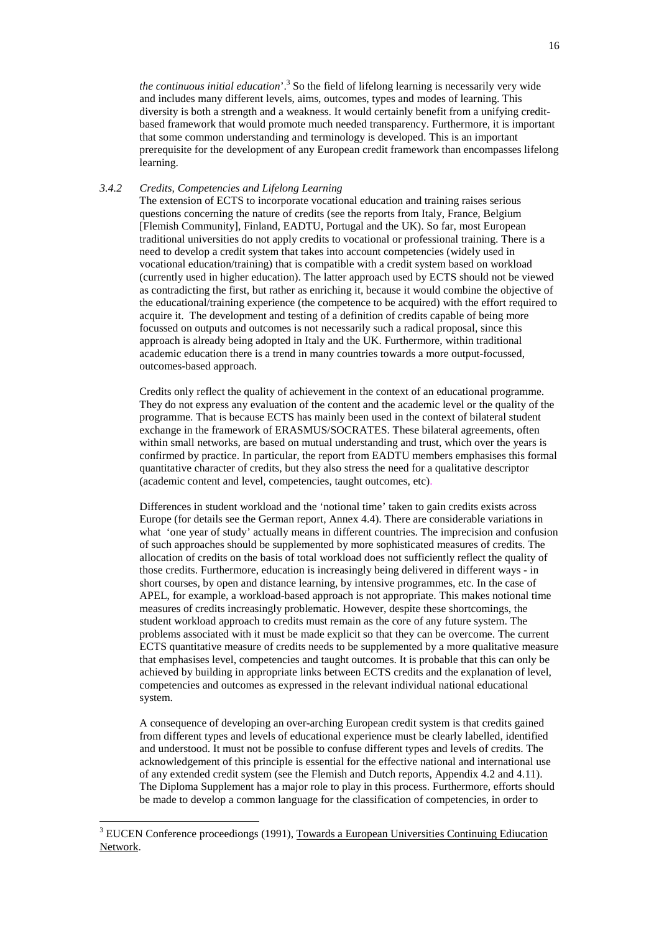*the continuous initial education*'.3 So the field of lifelong learning is necessarily very wide and includes many different levels, aims, outcomes, types and modes of learning. This diversity is both a strength and a weakness. It would certainly benefit from a unifying creditbased framework that would promote much needed transparency. Furthermore, it is important that some common understanding and terminology is developed. This is an important prerequisite for the development of any European credit framework than encompasses lifelong learning.

# *3.4.2 Credits, Competencies and Lifelong Learning*

The extension of ECTS to incorporate vocational education and training raises serious questions concerning the nature of credits (see the reports from Italy, France, Belgium [Flemish Community], Finland, EADTU, Portugal and the UK). So far, most European traditional universities do not apply credits to vocational or professional training. There is a need to develop a credit system that takes into account competencies (widely used in vocational education/training) that is compatible with a credit system based on workload (currently used in higher education). The latter approach used by ECTS should not be viewed as contradicting the first, but rather as enriching it, because it would combine the objective of the educational/training experience (the competence to be acquired) with the effort required to acquire it. The development and testing of a definition of credits capable of being more focussed on outputs and outcomes is not necessarily such a radical proposal, since this approach is already being adopted in Italy and the UK. Furthermore, within traditional academic education there is a trend in many countries towards a more output-focussed, outcomes-based approach.

Credits only reflect the quality of achievement in the context of an educational programme. They do not express any evaluation of the content and the academic level or the quality of the programme. That is because ECTS has mainly been used in the context of bilateral student exchange in the framework of ERASMUS/SOCRATES. These bilateral agreements, often within small networks, are based on mutual understanding and trust, which over the years is confirmed by practice. In particular, the report from EADTU members emphasises this formal quantitative character of credits, but they also stress the need for a qualitative descriptor (academic content and level, competencies, taught outcomes, etc).

Differences in student workload and the 'notional time' taken to gain credits exists across Europe (for details see the German report, Annex 4.4). There are considerable variations in what 'one year of study' actually means in different countries. The imprecision and confusion of such approaches should be supplemented by more sophisticated measures of credits. The allocation of credits on the basis of total workload does not sufficiently reflect the quality of those credits. Furthermore, education is increasingly being delivered in different ways - in short courses, by open and distance learning, by intensive programmes, etc. In the case of APEL, for example, a workload-based approach is not appropriate. This makes notional time measures of credits increasingly problematic. However, despite these shortcomings, the student workload approach to credits must remain as the core of any future system. The problems associated with it must be made explicit so that they can be overcome. The current ECTS quantitative measure of credits needs to be supplemented by a more qualitative measure that emphasises level, competencies and taught outcomes. It is probable that this can only be achieved by building in appropriate links between ECTS credits and the explanation of level, competencies and outcomes as expressed in the relevant individual national educational system.

A consequence of developing an over-arching European credit system is that credits gained from different types and levels of educational experience must be clearly labelled, identified and understood. It must not be possible to confuse different types and levels of credits. The acknowledgement of this principle is essential for the effective national and international use of any extended credit system (see the Flemish and Dutch reports, Appendix 4.2 and 4.11). The Diploma Supplement has a major role to play in this process. Furthermore, efforts should be made to develop a common language for the classification of competencies, in order to

 $3$  EUCEN Conference proceediongs (1991), Towards a European Universities Continuing Ediucation Network.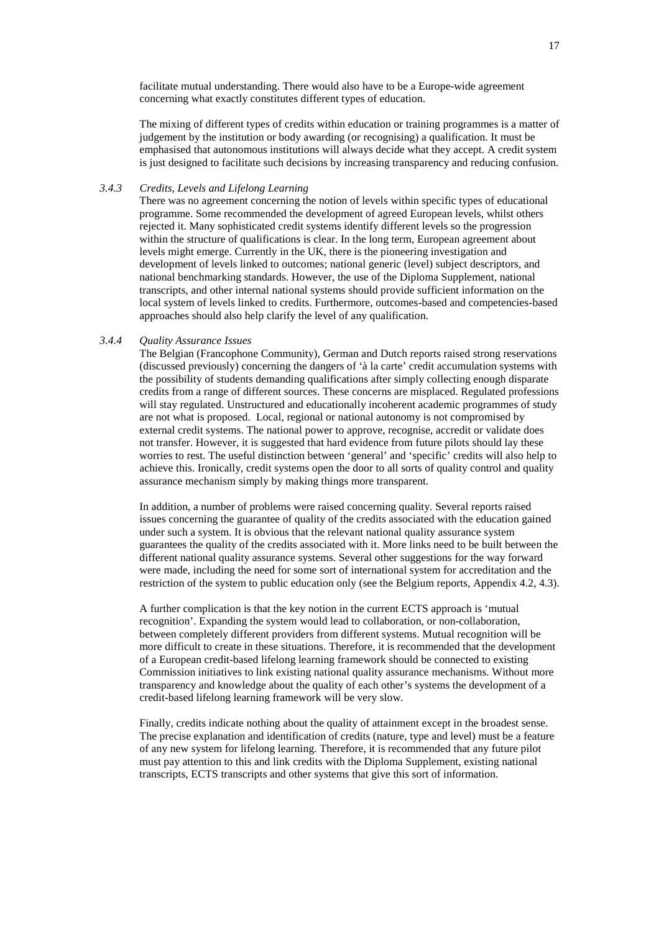facilitate mutual understanding. There would also have to be a Europe-wide agreement concerning what exactly constitutes different types of education.

The mixing of different types of credits within education or training programmes is a matter of judgement by the institution or body awarding (or recognising) a qualification. It must be emphasised that autonomous institutions will always decide what they accept. A credit system is just designed to facilitate such decisions by increasing transparency and reducing confusion.

# *3.4.3 Credits, Levels and Lifelong Learning*

There was no agreement concerning the notion of levels within specific types of educational programme. Some recommended the development of agreed European levels, whilst others rejected it. Many sophisticated credit systems identify different levels so the progression within the structure of qualifications is clear. In the long term, European agreement about levels might emerge. Currently in the UK, there is the pioneering investigation and development of levels linked to outcomes; national generic (level) subject descriptors, and national benchmarking standards. However, the use of the Diploma Supplement, national transcripts, and other internal national systems should provide sufficient information on the local system of levels linked to credits. Furthermore, outcomes-based and competencies-based approaches should also help clarify the level of any qualification.

#### *3.4.4 Quality Assurance Issues*

The Belgian (Francophone Community), German and Dutch reports raised strong reservations (discussed previously) concerning the dangers of 'à la carte' credit accumulation systems with the possibility of students demanding qualifications after simply collecting enough disparate credits from a range of different sources. These concerns are misplaced. Regulated professions will stay regulated. Unstructured and educationally incoherent academic programmes of study are not what is proposed. Local, regional or national autonomy is not compromised by external credit systems. The national power to approve, recognise, accredit or validate does not transfer. However, it is suggested that hard evidence from future pilots should lay these worries to rest. The useful distinction between 'general' and 'specific' credits will also help to achieve this. Ironically, credit systems open the door to all sorts of quality control and quality assurance mechanism simply by making things more transparent.

In addition, a number of problems were raised concerning quality. Several reports raised issues concerning the guarantee of quality of the credits associated with the education gained under such a system. It is obvious that the relevant national quality assurance system guarantees the quality of the credits associated with it. More links need to be built between the different national quality assurance systems. Several other suggestions for the way forward were made, including the need for some sort of international system for accreditation and the restriction of the system to public education only (see the Belgium reports, Appendix 4.2, 4.3).

A further complication is that the key notion in the current ECTS approach is 'mutual recognition'. Expanding the system would lead to collaboration, or non-collaboration, between completely different providers from different systems. Mutual recognition will be more difficult to create in these situations. Therefore, it is recommended that the development of a European credit-based lifelong learning framework should be connected to existing Commission initiatives to link existing national quality assurance mechanisms. Without more transparency and knowledge about the quality of each other's systems the development of a credit-based lifelong learning framework will be very slow.

Finally, credits indicate nothing about the quality of attainment except in the broadest sense. The precise explanation and identification of credits (nature, type and level) must be a feature of any new system for lifelong learning. Therefore, it is recommended that any future pilot must pay attention to this and link credits with the Diploma Supplement, existing national transcripts, ECTS transcripts and other systems that give this sort of information.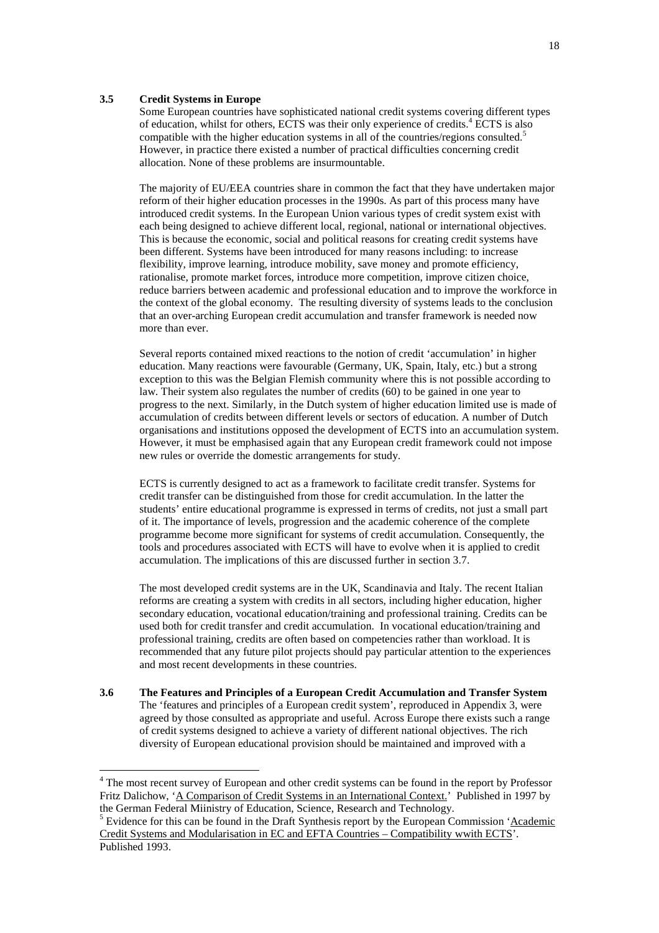#### **3.5 Credit Systems in Europe**

Some European countries have sophisticated national credit systems covering different types of education, whilst for others, ECTS was their only experience of credits.<sup>4</sup> ECTS is also compatible with the higher education systems in all of the countries/regions consulted.<sup>5</sup> However, in practice there existed a number of practical difficulties concerning credit allocation. None of these problems are insurmountable.

The majority of EU/EEA countries share in common the fact that they have undertaken major reform of their higher education processes in the 1990s. As part of this process many have introduced credit systems. In the European Union various types of credit system exist with each being designed to achieve different local, regional, national or international objectives. This is because the economic, social and political reasons for creating credit systems have been different. Systems have been introduced for many reasons including: to increase flexibility, improve learning, introduce mobility, save money and promote efficiency, rationalise, promote market forces, introduce more competition, improve citizen choice, reduce barriers between academic and professional education and to improve the workforce in the context of the global economy. The resulting diversity of systems leads to the conclusion that an over-arching European credit accumulation and transfer framework is needed now more than ever.

Several reports contained mixed reactions to the notion of credit 'accumulation' in higher education. Many reactions were favourable (Germany, UK, Spain, Italy, etc.) but a strong exception to this was the Belgian Flemish community where this is not possible according to law. Their system also regulates the number of credits (60) to be gained in one year to progress to the next. Similarly, in the Dutch system of higher education limited use is made of accumulation of credits between different levels or sectors of education. A number of Dutch organisations and institutions opposed the development of ECTS into an accumulation system. However, it must be emphasised again that any European credit framework could not impose new rules or override the domestic arrangements for study.

ECTS is currently designed to act as a framework to facilitate credit transfer. Systems for credit transfer can be distinguished from those for credit accumulation. In the latter the students' entire educational programme is expressed in terms of credits, not just a small part of it. The importance of levels, progression and the academic coherence of the complete programme become more significant for systems of credit accumulation. Consequently, the tools and procedures associated with ECTS will have to evolve when it is applied to credit accumulation. The implications of this are discussed further in section 3.7.

The most developed credit systems are in the UK, Scandinavia and Italy. The recent Italian reforms are creating a system with credits in all sectors, including higher education, higher secondary education, vocational education/training and professional training. Credits can be used both for credit transfer and credit accumulation. In vocational education/training and professional training, credits are often based on competencies rather than workload. It is recommended that any future pilot projects should pay particular attention to the experiences and most recent developments in these countries.

**3.6 The Features and Principles of a European Credit Accumulation and Transfer System** The 'features and principles of a European credit system', reproduced in Appendix 3, were agreed by those consulted as appropriate and useful. Across Europe there exists such a range of credit systems designed to achieve a variety of different national objectives. The rich diversity of European educational provision should be maintained and improved with a

<sup>&</sup>lt;sup>4</sup> The most recent survey of European and other credit systems can be found in the report by Professor Fritz Dalichow, 'A Comparison of Credit Systems in an International Context.' Published in 1997 by the German Federal Miinistry of Education, Science, Research and Technology.

 $<sup>5</sup>$  Evidence for this can be found in the Draft Synthesis report by the European Commission 'Academic'</sup> Credit Systems and Modularisation in EC and EFTA Countries – Compatibility wwith ECTS'. Published 1993.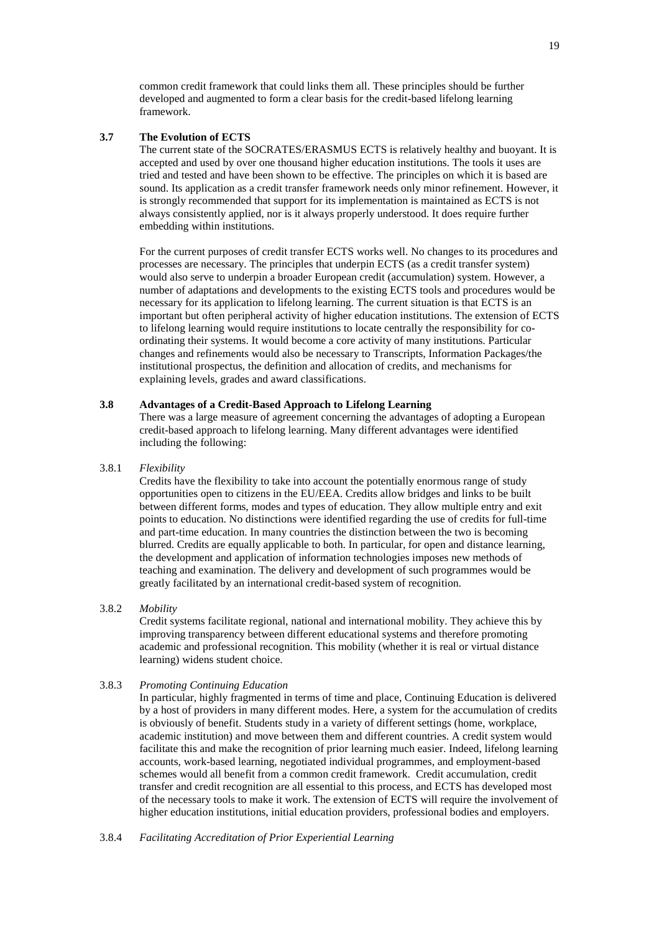common credit framework that could links them all. These principles should be further developed and augmented to form a clear basis for the credit-based lifelong learning framework.

#### **3.7 The Evolution of ECTS**

The current state of the SOCRATES/ERASMUS ECTS is relatively healthy and buoyant. It is accepted and used by over one thousand higher education institutions. The tools it uses are tried and tested and have been shown to be effective. The principles on which it is based are sound. Its application as a credit transfer framework needs only minor refinement. However, it is strongly recommended that support for its implementation is maintained as ECTS is not always consistently applied, nor is it always properly understood. It does require further embedding within institutions.

For the current purposes of credit transfer ECTS works well. No changes to its procedures and processes are necessary. The principles that underpin ECTS (as a credit transfer system) would also serve to underpin a broader European credit (accumulation) system. However, a number of adaptations and developments to the existing ECTS tools and procedures would be necessary for its application to lifelong learning. The current situation is that ECTS is an important but often peripheral activity of higher education institutions. The extension of ECTS to lifelong learning would require institutions to locate centrally the responsibility for coordinating their systems. It would become a core activity of many institutions. Particular changes and refinements would also be necessary to Transcripts, Information Packages/the institutional prospectus, the definition and allocation of credits, and mechanisms for explaining levels, grades and award classifications.

# **3.8 Advantages of a Credit-Based Approach to Lifelong Learning**

There was a large measure of agreement concerning the advantages of adopting a European credit-based approach to lifelong learning. Many different advantages were identified including the following:

## 3.8.1 *Flexibility*

Credits have the flexibility to take into account the potentially enormous range of study opportunities open to citizens in the EU/EEA. Credits allow bridges and links to be built between different forms, modes and types of education. They allow multiple entry and exit points to education. No distinctions were identified regarding the use of credits for full-time and part-time education. In many countries the distinction between the two is becoming blurred. Credits are equally applicable to both. In particular, for open and distance learning, the development and application of information technologies imposes new methods of teaching and examination. The delivery and development of such programmes would be greatly facilitated by an international credit-based system of recognition.

#### 3.8.2 *Mobility*

Credit systems facilitate regional, national and international mobility. They achieve this by improving transparency between different educational systems and therefore promoting academic and professional recognition. This mobility (whether it is real or virtual distance learning) widens student choice.

# 3.8.3 *Promoting Continuing Education*

In particular, highly fragmented in terms of time and place, Continuing Education is delivered by a host of providers in many different modes. Here, a system for the accumulation of credits is obviously of benefit. Students study in a variety of different settings (home, workplace, academic institution) and move between them and different countries. A credit system would facilitate this and make the recognition of prior learning much easier. Indeed, lifelong learning accounts, work-based learning, negotiated individual programmes, and employment-based schemes would all benefit from a common credit framework. Credit accumulation, credit transfer and credit recognition are all essential to this process, and ECTS has developed most of the necessary tools to make it work. The extension of ECTS will require the involvement of higher education institutions, initial education providers, professional bodies and employers.

#### 3.8.4 *Facilitating Accreditation of Prior Experiential Learning*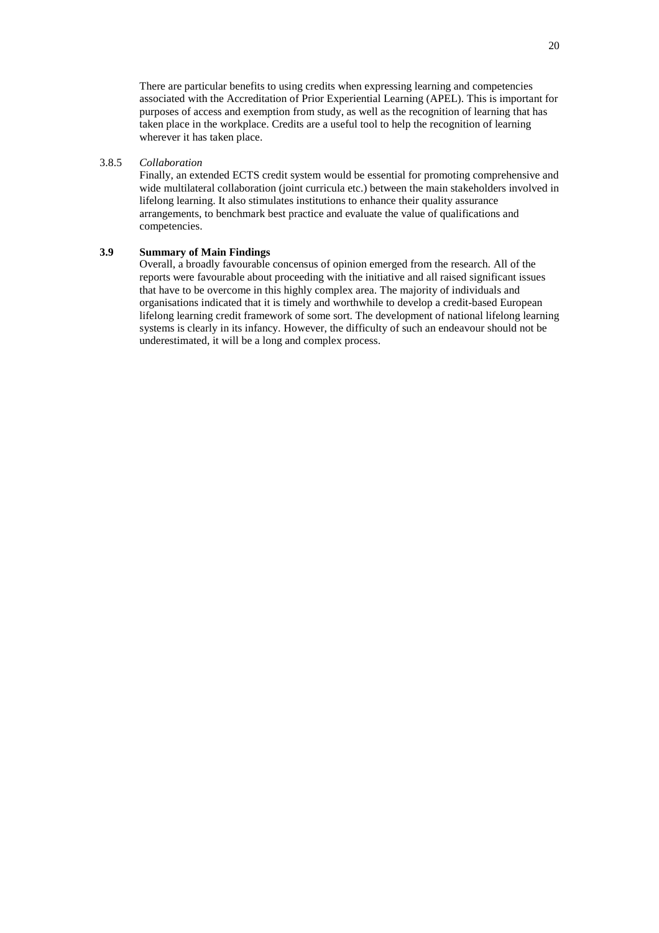There are particular benefits to using credits when expressing learning and competencies associated with the Accreditation of Prior Experiential Learning (APEL). This is important for purposes of access and exemption from study, as well as the recognition of learning that has taken place in the workplace. Credits are a useful tool to help the recognition of learning wherever it has taken place.

# 3.8.5 *Collaboration*

Finally, an extended ECTS credit system would be essential for promoting comprehensive and wide multilateral collaboration (joint curricula etc.) between the main stakeholders involved in lifelong learning. It also stimulates institutions to enhance their quality assurance arrangements, to benchmark best practice and evaluate the value of qualifications and competencies.

## **3.9 Summary of Main Findings**

Overall, a broadly favourable concensus of opinion emerged from the research. All of the reports were favourable about proceeding with the initiative and all raised significant issues that have to be overcome in this highly complex area. The majority of individuals and organisations indicated that it is timely and worthwhile to develop a credit-based European lifelong learning credit framework of some sort. The development of national lifelong learning systems is clearly in its infancy. However, the difficulty of such an endeavour should not be underestimated, it will be a long and complex process.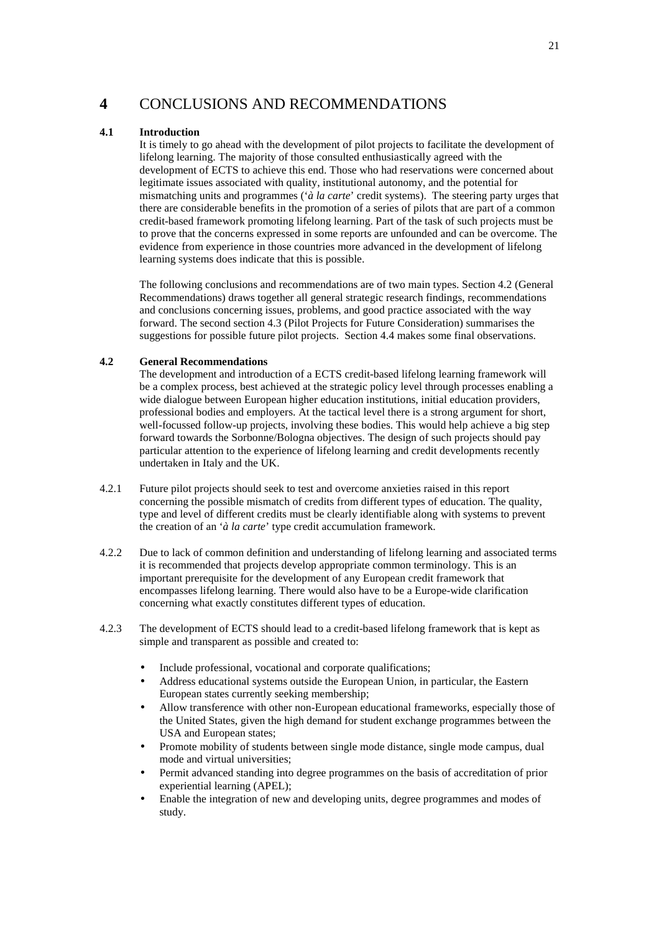# **4** CONCLUSIONS AND RECOMMENDATIONS

# **4.1 Introduction**

It is timely to go ahead with the development of pilot projects to facilitate the development of lifelong learning. The majority of those consulted enthusiastically agreed with the development of ECTS to achieve this end. Those who had reservations were concerned about legitimate issues associated with quality, institutional autonomy, and the potential for mismatching units and programmes ('*à la carte*' credit systems). The steering party urges that there are considerable benefits in the promotion of a series of pilots that are part of a common credit-based framework promoting lifelong learning. Part of the task of such projects must be to prove that the concerns expressed in some reports are unfounded and can be overcome. The evidence from experience in those countries more advanced in the development of lifelong learning systems does indicate that this is possible.

The following conclusions and recommendations are of two main types. Section 4.2 (General Recommendations) draws together all general strategic research findings, recommendations and conclusions concerning issues, problems, and good practice associated with the way forward. The second section 4.3 (Pilot Projects for Future Consideration) summarises the suggestions for possible future pilot projects. Section 4.4 makes some final observations.

# **4.2 General Recommendations**

The development and introduction of a ECTS credit-based lifelong learning framework will be a complex process, best achieved at the strategic policy level through processes enabling a wide dialogue between European higher education institutions, initial education providers, professional bodies and employers. At the tactical level there is a strong argument for short, well-focussed follow-up projects, involving these bodies. This would help achieve a big step forward towards the Sorbonne/Bologna objectives. The design of such projects should pay particular attention to the experience of lifelong learning and credit developments recently undertaken in Italy and the UK.

- 4.2.1 Future pilot projects should seek to test and overcome anxieties raised in this report concerning the possible mismatch of credits from different types of education. The quality, type and level of different credits must be clearly identifiable along with systems to prevent the creation of an '*à la carte*' type credit accumulation framework.
- 4.2.2 Due to lack of common definition and understanding of lifelong learning and associated terms it is recommended that projects develop appropriate common terminology. This is an important prerequisite for the development of any European credit framework that encompasses lifelong learning. There would also have to be a Europe-wide clarification concerning what exactly constitutes different types of education.
- 4.2.3 The development of ECTS should lead to a credit-based lifelong framework that is kept as simple and transparent as possible and created to:
	- Include professional, vocational and corporate qualifications;
	- Address educational systems outside the European Union, in particular, the Eastern European states currently seeking membership;
	- Allow transference with other non-European educational frameworks, especially those of the United States, given the high demand for student exchange programmes between the USA and European states;
	- Promote mobility of students between single mode distance, single mode campus, dual mode and virtual universities;
	- Permit advanced standing into degree programmes on the basis of accreditation of prior experiential learning (APEL);
	- Enable the integration of new and developing units, degree programmes and modes of study.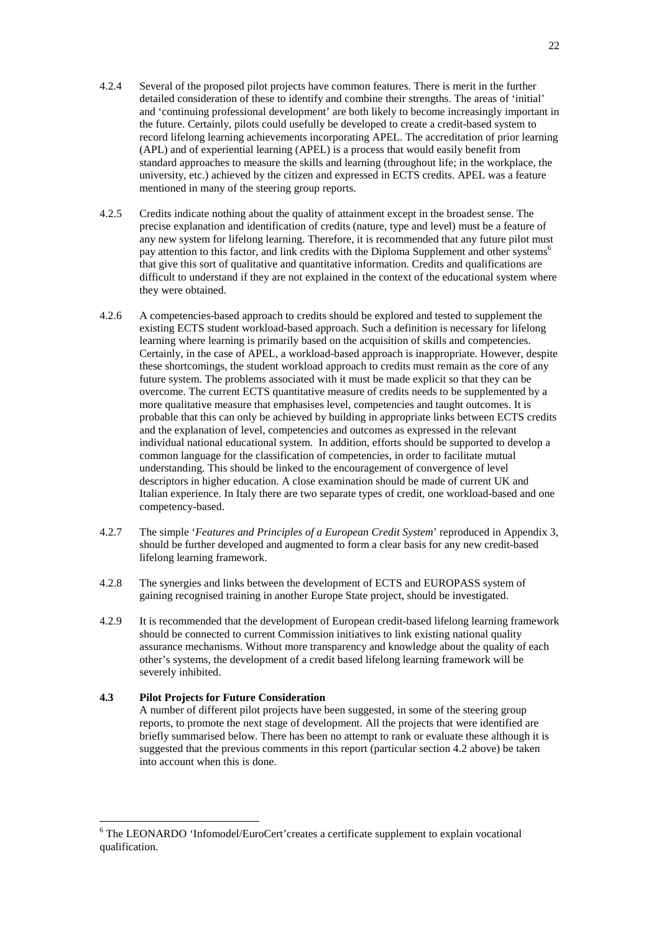- 4.2.4 Several of the proposed pilot projects have common features. There is merit in the further detailed consideration of these to identify and combine their strengths. The areas of 'initial' and 'continuing professional development' are both likely to become increasingly important in the future. Certainly, pilots could usefully be developed to create a credit-based system to record lifelong learning achievements incorporating APEL. The accreditation of prior learning (APL) and of experiential learning (APEL) is a process that would easily benefit from standard approaches to measure the skills and learning (throughout life; in the workplace, the university, etc.) achieved by the citizen and expressed in ECTS credits. APEL was a feature mentioned in many of the steering group reports.
- 4.2.5 Credits indicate nothing about the quality of attainment except in the broadest sense. The precise explanation and identification of credits (nature, type and level) must be a feature of any new system for lifelong learning. Therefore, it is recommended that any future pilot must pay attention to this factor, and link credits with the Diploma Supplement and other systems<sup>6</sup> that give this sort of qualitative and quantitative information. Credits and qualifications are difficult to understand if they are not explained in the context of the educational system where they were obtained.
- 4.2.6 A competencies-based approach to credits should be explored and tested to supplement the existing ECTS student workload-based approach. Such a definition is necessary for lifelong learning where learning is primarily based on the acquisition of skills and competencies. Certainly, in the case of APEL, a workload-based approach is inappropriate. However, despite these shortcomings, the student workload approach to credits must remain as the core of any future system. The problems associated with it must be made explicit so that they can be overcome. The current ECTS quantitative measure of credits needs to be supplemented by a more qualitative measure that emphasises level, competencies and taught outcomes. It is probable that this can only be achieved by building in appropriate links between ECTS credits and the explanation of level, competencies and outcomes as expressed in the relevant individual national educational system. In addition, efforts should be supported to develop a common language for the classification of competencies, in order to facilitate mutual understanding. This should be linked to the encouragement of convergence of level descriptors in higher education. A close examination should be made of current UK and Italian experience. In Italy there are two separate types of credit, one workload-based and one competency-based.
- 4.2.7 The simple '*Features and Principles of a European Credit System*' reproduced in Appendix 3, should be further developed and augmented to form a clear basis for any new credit-based lifelong learning framework.
- 4.2.8 The synergies and links between the development of ECTS and EUROPASS system of gaining recognised training in another Europe State project, should be investigated.
- 4.2.9 It is recommended that the development of European credit-based lifelong learning framework should be connected to current Commission initiatives to link existing national quality assurance mechanisms. Without more transparency and knowledge about the quality of each other's systems, the development of a credit based lifelong learning framework will be severely inhibited.

# **4.3 Pilot Projects for Future Consideration**

A number of different pilot projects have been suggested, in some of the steering group reports, to promote the next stage of development. All the projects that were identified are briefly summarised below. There has been no attempt to rank or evaluate these although it is suggested that the previous comments in this report (particular section 4.2 above) be taken into account when this is done.

<sup>6</sup> The LEONARDO 'Infomodel/EuroCert'creates a certificate supplement to explain vocational qualification.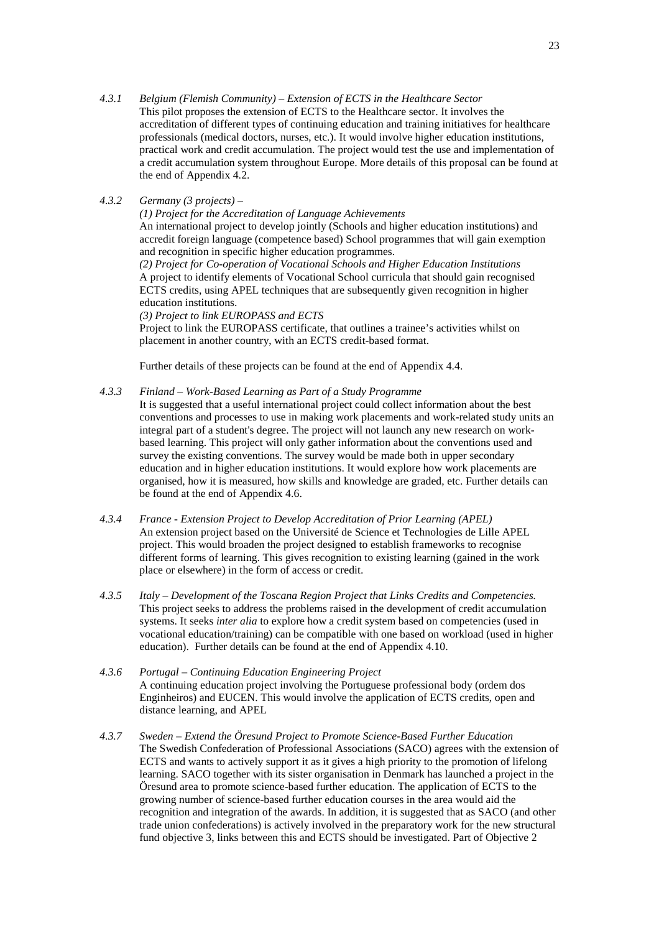*4.3.1 Belgium (Flemish Community) – Extension of ECTS in the Healthcare Sector* This pilot proposes the extension of ECTS to the Healthcare sector. It involves the accreditation of different types of continuing education and training initiatives for healthcare professionals (medical doctors, nurses, etc.). It would involve higher education institutions, practical work and credit accumulation. The project would test the use and implementation of a credit accumulation system throughout Europe. More details of this proposal can be found at

# *4.3.2 Germany (3 projects) –*

the end of Appendix 4.2.

*(1) Project for the Accreditation of Language Achievements* An international project to develop jointly (Schools and higher education institutions) and accredit foreign language (competence based) School programmes that will gain exemption and recognition in specific higher education programmes.

*(2) Project for Co-operation of Vocational Schools and Higher Education Institutions* A project to identify elements of Vocational School curricula that should gain recognised ECTS credits, using APEL techniques that are subsequently given recognition in higher education institutions.

*(3) Project to link EUROPASS and ECTS*

Project to link the EUROPASS certificate, that outlines a trainee's activities whilst on placement in another country, with an ECTS credit-based format.

Further details of these projects can be found at the end of Appendix 4.4.

## *4.3.3 Finland – Work-Based Learning as Part of a Study Programme*

It is suggested that a useful international project could collect information about the best conventions and processes to use in making work placements and work-related study units an integral part of a student's degree. The project will not launch any new research on workbased learning. This project will only gather information about the conventions used and survey the existing conventions. The survey would be made both in upper secondary education and in higher education institutions. It would explore how work placements are organised, how it is measured, how skills and knowledge are graded, etc. Further details can be found at the end of Appendix 4.6.

- *4.3.4 France Extension Project to Develop Accreditation of Prior Learning (APEL)* An extension project based on the Université de Science et Technologies de Lille APEL project. This would broaden the project designed to establish frameworks to recognise different forms of learning. This gives recognition to existing learning (gained in the work place or elsewhere) in the form of access or credit.
- *4.3.5 Italy Development of the Toscana Region Project that Links Credits and Competencies.* This project seeks to address the problems raised in the development of credit accumulation systems. It seeks *inter alia* to explore how a credit system based on competencies (used in vocational education/training) can be compatible with one based on workload (used in higher education). Further details can be found at the end of Appendix 4.10.
- *4.3.6 Portugal Continuing Education Engineering Project* A continuing education project involving the Portuguese professional body (ordem dos Enginheiros) and EUCEN. This would involve the application of ECTS credits, open and distance learning, and APEL
- *4.3.7 Sweden Extend the Öresund Project to Promote Science-Based Further Education* The Swedish Confederation of Professional Associations (SACO) agrees with the extension of ECTS and wants to actively support it as it gives a high priority to the promotion of lifelong learning. SACO together with its sister organisation in Denmark has launched a project in the Öresund area to promote science-based further education. The application of ECTS to the growing number of science-based further education courses in the area would aid the recognition and integration of the awards. In addition, it is suggested that as SACO (and other trade union confederations) is actively involved in the preparatory work for the new structural fund objective 3, links between this and ECTS should be investigated. Part of Objective 2